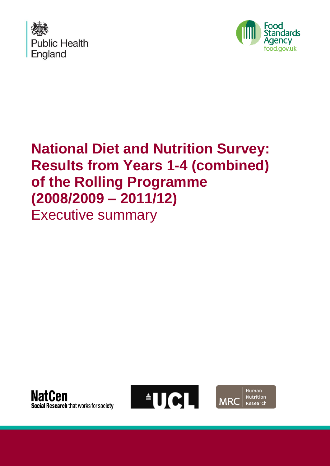



# **National Diet and Nutrition Survey: Results from Years 1-4 (combined) of the Rolling Programme (2008/2009 – 2011/12)** Executive summary





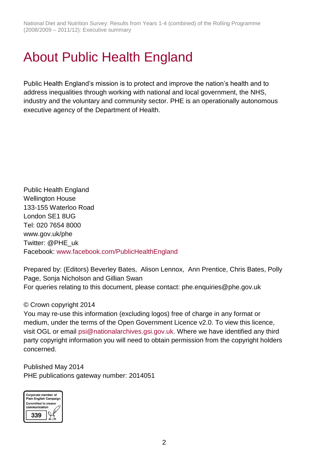# <span id="page-1-0"></span>About Public Health England

Public Health England's mission is to protect and improve the nation's health and to address inequalities through working with national and local government, the NHS, industry and the voluntary and community sector. PHE is an operationally autonomous executive agency of the Department of Health.

Public Health England Wellington House 133-155 Waterloo Road London SE1 8UG Tel: 020 7654 8000 [www.gov.uk/phe](http://www.gov.uk/phe) Twitter: [@PHE\\_uk](https://twitter.com/PHE_uk) Facebook: [www.facebook.com/PublicHealthEngland](http://www.facebook.com/PublicHealthEngland)

Prepared by: (Editors) Beverley Bates, Alison Lennox, Ann Prentice, Chris Bates, Polly Page, Sonja Nicholson and Gillian Swan For queries relating to this document, please contact: phe.enquiries@phe.gov.uk

#### © Crown copyright 2014

You may re-use this information (excluding logos) free of charge in any format or medium, under the terms of the Open Government Licence v2.0. To view this licence, visit OGL or email [psi@nationalarchives.gsi.gov.uk.](mailto:psi@nationalarchives.gsi.gov.uk) Where we have identified any third party copyright information you will need to obtain permission from the copyright holders concerned.

Published May 2014 PHE publications gateway number: 2014051

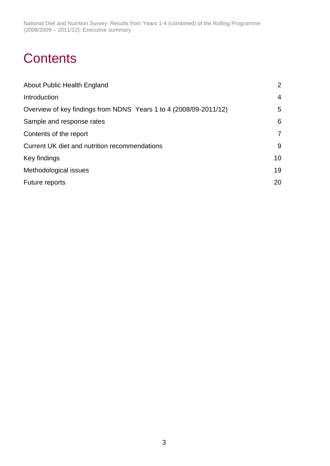National Diet and Nutrition Survey: Results from Years 1-4 (combined) of the Rolling Programme (2008/2009 – 2011/12): Executive summary

# **Contents**

| About Public Health England                                       | 2               |
|-------------------------------------------------------------------|-----------------|
| Introduction                                                      | 4               |
| Overview of key findings from NDNS Years 1 to 4 (2008/09-2011/12) | 5               |
| Sample and response rates                                         | 6               |
| Contents of the report                                            | $\overline{7}$  |
| Current UK diet and nutrition recommendations                     | 9               |
| Key findings                                                      | 10 <sup>°</sup> |
| Methodological issues                                             | 19              |
| Future reports                                                    | 20              |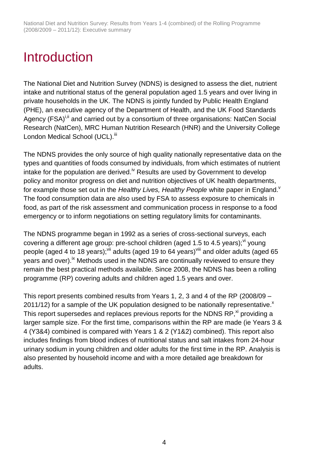## <span id="page-3-0"></span>Introduction

The National Diet and Nutrition Survey (NDNS) is designed to assess the diet, nutrient intake and nutritional status of the general population aged 1.5 years and over living in private households in the UK. The NDNS is jointly funded by Public Health England (PHE), an executive agency of the Department of Health, and the UK Food Standards Agency (FSA)<sup>i, ii</sup> and carried out by a consortium of three organisations: NatCen Social Research (NatCen), MRC Human Nutrition Research (HNR) and the University College London Medical School (UCL).<sup>iii</sup>

The NDNS provides the only source of high quality nationally representative data on the types and quantities of foods consumed by individuals, from which estimates of nutrient intake for the population are derived.<sup>iv</sup> Results are used by Government to develop policy and monitor progress on diet and nutrition objectives of UK health departments, for example those set out in the *Healthy Lives, Healthy People* white paper in England.<sup>v</sup> The food consumption data are also used by FSA to assess exposure to chemicals in food, as part of the risk assessment and communication process in response to a food emergency or to inform negotiations on setting regulatory limits for contaminants.

<span id="page-3-4"></span><span id="page-3-3"></span><span id="page-3-2"></span>The NDNS programme began in 1992 as a series of cross-sectional surveys, each covering a different age group: pre-school children (aged 1.5 to 4.5 years);  $\frac{V}{V}$  young people (aged 4 to 18 years);<sup>vii</sup> adults (aged 19 to 64 years)<sup>viii</sup> and older adults (aged 65 years and over).<sup>ix</sup> Methods used in the NDNS are continually reviewed to ensure they remain the best practical methods available. Since 2008, the NDNS has been a rolling programme (RP) covering adults and children aged 1.5 years and over.

<span id="page-3-1"></span>This report presents combined results from Years 1, 2, 3 and 4 of the RP (2008/09 – 2011/12) for a sample of the UK population designed to be nationally representative. $x$ This report supersedes and replaces previous reports for the NDNS RP, $^{\text{xi}}$  providing a larger sample size. For the first time, comparisons within the RP are made (ie Years 3 & 4 (Y3&4) combined is compared with Years 1 & 2 (Y1&2) combined). This report also includes findings from blood indices of nutritional status and salt intakes from 24-hour urinary sodium in young children and older adults for the first time in the RP. Analysis is also presented by household income and with a more detailed age breakdown for adults.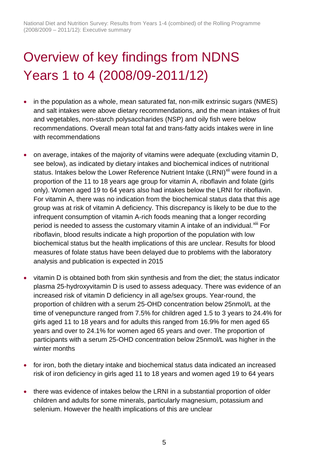# <span id="page-4-0"></span>Overview of key findings from NDNS Years 1 to 4 (2008/09-2011/12)

- in the population as a whole, mean saturated fat, non-milk extrinsic sugars (NMES) and salt intakes were above dietary recommendations, and the mean intakes of fruit and vegetables, non-starch polysaccharides (NSP) and oily fish were below recommendations. Overall mean total fat and trans-fatty acids intakes were in line with recommendations
- <span id="page-4-1"></span> on average, intakes of the majority of vitamins were adequate (excluding vitamin D, see below), as indicated by dietary intakes and biochemical indices of nutritional status. Intakes below the Lower Reference Nutrient Intake (LRNI)<sup>xii</sup> were found in a proportion of the 11 to 18 years age group for vitamin A, riboflavin and folate (girls only). Women aged 19 to 64 years also had intakes below the LRNI for riboflavin. For vitamin A, there was no indication from the biochemical status data that this age group was at risk of vitamin A deficiency. This discrepancy is likely to be due to the infrequent consumption of vitamin A-rich foods meaning that a longer recording period is needed to assess the customary vitamin A intake of an individual.<sup>xiii</sup> For riboflavin, blood results indicate a high proportion of the population with low biochemical status but the health implications of this are unclear. Results for blood measures of folate status have been delayed due to problems with the laboratory analysis and publication is expected in 2015
- vitamin D is obtained both from skin synthesis and from the diet; the status indicator plasma 25-hydroxyvitamin D is used to assess adequacy. There was evidence of an increased risk of vitamin D deficiency in all age/sex groups. Year-round, the proportion of children with a serum 25-OHD concentration below 25nmol/L at the time of venepuncture ranged from 7.5% for children aged 1.5 to 3 years to 24.4% for girls aged 11 to 18 years and for adults this ranged from 16.9% for men aged 65 years and over to 24.1% for women aged 65 years and over. The proportion of participants with a serum 25-OHD concentration below 25nmol/L was higher in the winter months
- for iron, both the dietary intake and biochemical status data indicated an increased risk of iron deficiency in girls aged 11 to 18 years and women aged 19 to 64 years
- there was evidence of intakes below the LRNI in a substantial proportion of older children and adults for some minerals, particularly magnesium, potassium and selenium. However the health implications of this are unclear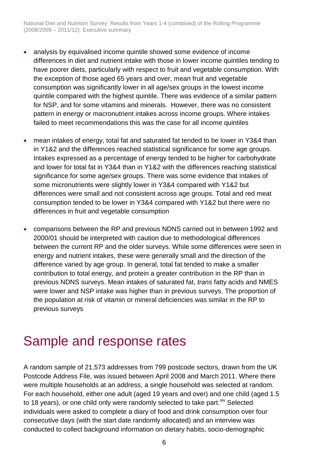National Diet and Nutrition Survey: Results from Years 1-4 (combined) of the Rolling Programme (2008/2009 – 2011/12): Executive summary

- analysis by equivalised income quintile showed some evidence of income differences in diet and nutrient intake with those in lower income quintiles tending to have poorer diets, particularly with respect to fruit and vegetable consumption. With the exception of those aged 65 years and over, mean fruit and vegetable consumption was significantly lower in all age/sex groups in the lowest income quintile compared with the highest quintile. There was evidence of a similar pattern for NSP, and for some vitamins and minerals. However, there was no consistent pattern in energy or macronutrient intakes across income groups. Where intakes failed to meet recommendations this was the case for all income quintiles
- mean intakes of energy, total fat and saturated fat tended to be lower in Y3&4 than in Y1&2 and the differences reached statistical significance for some age groups. Intakes expressed as a percentage of energy tended to be higher for carbohydrate and lower for total fat in Y3&4 than in Y1&2 with the differences reaching statistical significance for some age/sex groups. There was some evidence that intakes of some micronutrients were slightly lower in Y3&4 compared with Y1&2 but differences were small and not consistent across age groups. Total and red meat consumption tended to be lower in Y3&4 compared with Y1&2 but there were no differences in fruit and vegetable consumption
- comparisons between the RP and previous NDNS carried out in between 1992 and 2000/01 should be interpreted with caution due to methodological differences between the current RP and the older surveys. While some differences were seen in energy and nutrient intakes, these were generally small and the direction of the difference varied by age group. In general, total fat tended to make a smaller contribution to total energy, and protein a greater contribution in the RP than in previous NDNS surveys. Mean intakes of saturated fat, *trans* fatty acids and NMES were lower and NSP intake was higher than in previous surveys. The proportion of the population at risk of vitamin or mineral deficiencies was similar in the RP to previous surveys

### <span id="page-5-0"></span>Sample and response rates

A random sample of 21,573 addresses from 799 postcode sectors, drawn from the UK Postcode Address File, was issued between April 2008 and March 2011. Where there were multiple households at an address, a single household was selected at random. For each household, either one adult (aged 19 years and over) and one child (aged 1.5 to 18 years), or one child only were randomly selected to take part. Xiv Selected individuals were asked to complete a diary of food and drink consumption over four consecutive days (with the start date randomly allocated) and an interview was conducted to collect background information on dietary habits, socio-demographic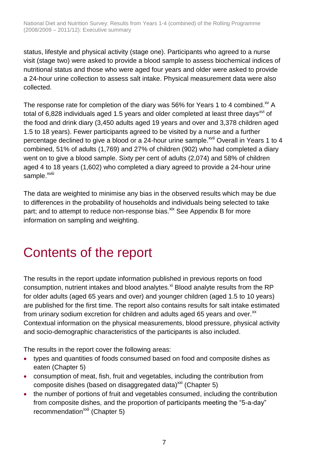status, lifestyle and physical activity (stage one). Participants who agreed to a nurse visit (stage two) were asked to provide a blood sample to assess biochemical indices of nutritional status and those who were aged four years and older were asked to provide a 24-hour urine collection to assess salt intake. Physical measurement data were also collected.

The response rate for completion of the diary was 56% for Years 1 to 4 combined.<sup>xv</sup> A total of 6,828 individuals aged 1.5 years and older completed at least three days<sup> $xi$ </sup> of the food and drink diary (3,450 adults aged 19 years and over and 3,378 children aged 1.5 to 18 years). Fewer participants agreed to be visited by a nurse and a further percentage declined to give a blood or a 24-hour urine sample.<sup>xvii</sup> Overall in Years 1 to 4 combined, 51% of adults (1,769) and 27% of children (902) who had completed a diary went on to give a blood sample. Sixty per cent of adults (2,074) and 58% of children aged 4 to 18 years (1,602) who completed a diary agreed to provide a 24-hour urine sample.<sup>xviii</sup>

The data are weighted to minimise any bias in the observed results which may be due to differences in the probability of households and individuals being selected to take part; and to attempt to reduce non-response bias.<sup>xix</sup> See Appendix B for more information on sampling and weighting.

### <span id="page-6-0"></span>Contents of the report

The results in the report update information published in previous reports on food consumption, nutrient intakes and blood analytes. $x_i$  Blood analyte results from the RP for older adults (aged 65 years and over) and younger children (aged 1.5 to 10 years) are published for the first time. The report also contains results for salt intake estimated from urinary sodium excretion for children and adults aged 65 years and over.<sup>xx</sup> Contextual information on the physical measurements, blood pressure, physical activity and socio-demographic characteristics of the participants is also included.

The results in the report cover the following areas:

- types and quantities of foods consumed based on food and composite dishes as eaten (Chapter 5)
- consumption of meat, fish, fruit and vegetables, including the contribution from composite dishes (based on disaggregated data)<sup>xxi</sup> (Chapter 5)
- <span id="page-6-1"></span> the number of portions of fruit and vegetables consumed, including the contribution from composite dishes, and the proportion of participants meeting the "5-a-day" recommendation<sup>xxii</sup> (Chapter 5)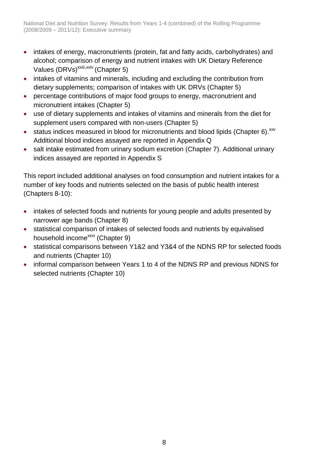- intakes of energy, macronutrients (protein, fat and fatty acids, carbohydrates) and alcohol; comparison of energy and nutrient intakes with UK Dietary Reference Values (DRVs)<sup>xxiii,xxiv</sup> (Chapter 5)
- <span id="page-7-0"></span>• intakes of vitamins and minerals, including and excluding the contribution from dietary supplements; comparison of intakes with UK DRVs (Chapter 5)
- percentage contributions of major food groups to energy, macronutrient and micronutrient intakes (Chapter 5)
- use of dietary supplements and intakes of vitamins and minerals from the diet for supplement users compared with non-users (Chapter 5)
- status indices measured in blood for micronutrients and blood lipids (Chapter 6). XXV Additional blood indices assayed are reported in Appendix Q
- salt intake estimated from urinary sodium excretion (Chapter 7). Additional urinary indices assayed are reported in Appendix S

This report included additional analyses on food consumption and nutrient intakes for a number of key foods and nutrients selected on the basis of public health interest (Chapters 8-10):

- intakes of selected foods and nutrients for young people and adults presented by narrower age bands (Chapter 8)
- statistical comparison of intakes of selected foods and nutrients by equivalised household income<sup>xxvi</sup> (Chapter 9)
- <span id="page-7-1"></span> statistical comparisons between Y1&2 and Y3&4 of the NDNS RP for selected foods and nutrients (Chapter 10)
- informal comparison between Years 1 to 4 of the NDNS RP and previous NDNS for selected nutrients (Chapter 10)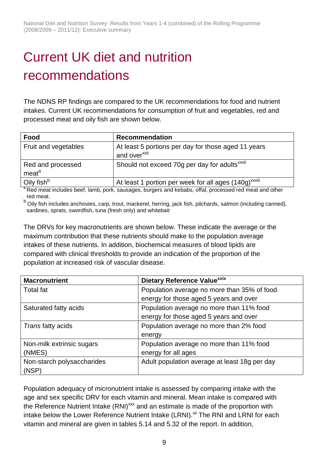# <span id="page-8-0"></span>Current UK diet and nutrition recommendations

The NDNS RP findings are compared to the UK recommendations for food and nutrient intakes. Current UK recommendations for consumption of fruit and vegetables, red and processed meat and oily fish are shown below.

| Food                                   | <b>Recommendation</b>                                                           |
|----------------------------------------|---------------------------------------------------------------------------------|
| Fruit and vegetables                   | At least 5 portions per day for those aged 11 years<br>and over <sup>xxii</sup> |
| Red and processed<br>meat <sup>a</sup> | Should not exceed 70g per day for adults <sup>xxvii</sup>                       |
| Oily fish <sup>b</sup>                 | At least 1 portion per week for all ages (140g) <sup>XXVIII</sup>               |

<sup>a</sup> Red meat includes beef, lamb, pork, sausages, burgers and kebabs, offal, processed red meat and other red meat.

b Oily fish includes anchovies, carp, trout, mackerel, herring, jack fish, pilchards, salmon (including canned), sardines, sprats, swordfish, tuna (fresh only) and whitebait

The DRVs for key macronutrients are shown below. These indicate the average or the maximum contribution that these nutrients should make to the population average intakes of these nutrients. In addition, biochemical measures of blood lipids are compared with clinical thresholds to provide an indication of the proportion of the population at increased risk of vascular disease.

<span id="page-8-1"></span>

| <b>Macronutrient</b>       | Dietary Reference Value <sup>xxix</sup>       |  |
|----------------------------|-----------------------------------------------|--|
| <b>Total fat</b>           | Population average no more than 35% of food   |  |
|                            | energy for those aged 5 years and over        |  |
| Saturated fatty acids      | Population average no more than 11% food      |  |
|                            | energy for those aged 5 years and over        |  |
| Trans fatty acids          | Population average no more than 2% food       |  |
|                            | energy                                        |  |
| Non-milk extrinsic sugars  | Population average no more than 11% food      |  |
| (NMES)                     | energy for all ages                           |  |
| Non-starch polysaccharides | Adult population average at least 18g per day |  |
| (NSP)                      |                                               |  |

Population adequacy of micronutrient intake is assessed by comparing intake with the age and sex specific DRV for each vitamin and mineral. Mean intake is compared with the Reference Nutrient Intake  $(RNI)^{xxx}$  and an estimate is made of the proportion with intake below the Lower Reference Nutrient Intake (LRNI).<sup>[xii](#page-4-1)</sup> The RNI and LRNI for each vitamin and mineral are given in tables 5.14 and 5.32 of the report. In addition,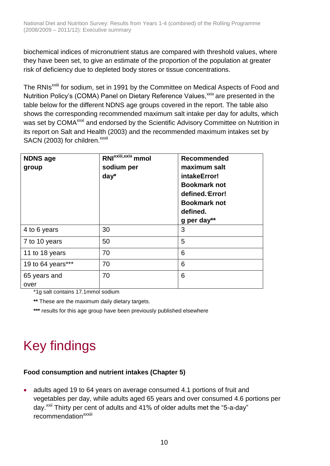biochemical indices of micronutrient status are compared with threshold values, where they have been set, to give an estimate of the proportion of the population at greater risk of deficiency due to depleted body stores or tissue concentrations.

The RNIs<sup>XXIII</sup> for sodium, set in 1991 by the Committee on Medical Aspects of Food and Nutrition Policy's (COMA) Panel on Dietary Reference Values,<sup>[xxix](#page-8-1)</sup> are presented in the table below for the different NDNS age groups covered in the report. The table also shows the corresponding recommended maximum salt intake per day for adults, which was set by COMA<sup>xxxi</sup> and endorsed by the Scientific Advisory Committee on Nutrition in its report on Salt and Health (2003) and the recommended maximum intakes set by SACN (2003) for children.<sup>xxxii</sup>

| <b>NDNS age</b><br>group | RNI <sup>xxiii,xxix</sup> mmol<br>sodium per<br>$day^*$ | <b>Recommended</b><br>maximum salt<br>intakeError!<br><b>Bookmark not</b><br>defined. Error!<br><b>Bookmark not</b><br>defined.<br>g per day** |
|--------------------------|---------------------------------------------------------|------------------------------------------------------------------------------------------------------------------------------------------------|
| 4 to 6 years             | 30                                                      | 3                                                                                                                                              |
| 7 to 10 years            | 50                                                      | 5                                                                                                                                              |
| 11 to 18 years           | 70                                                      | 6                                                                                                                                              |
| 19 to 64 years***        | 70                                                      | 6                                                                                                                                              |
| 65 years and<br>over     | 70                                                      | 6                                                                                                                                              |

\*1g salt contains 17.1mmol sodium

**\*\*** These are the maximum daily dietary targets.

**\*\*\*** results for this age group have been previously published elsewhere

# <span id="page-9-0"></span>Key findings

#### **Food consumption and nutrient intakes (Chapter 5)**

 adults aged 19 to 64 years on average consumed 4.1 portions of fruit and vegetables per day, while adults aged 65 years and over consumed 4.6 portions per day.<sup>[xxii](#page-6-1)</sup> Thirty per cent of adults and 41% of older adults met the "5-a-day" recommendation<sup>xxxiii</sup>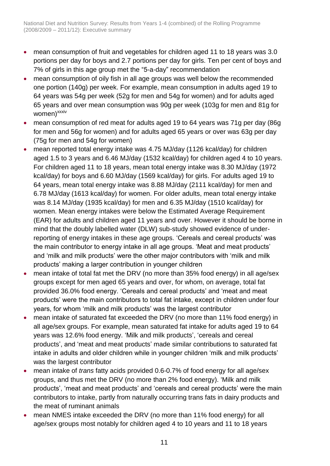- mean consumption of fruit and vegetables for children aged 11 to 18 years was 3.0 portions per day for boys and 2.7 portions per day for girls. Ten per cent of boys and 7% of girls in this age group met the "5-a-day" recommendation
- mean consumption of oily fish in all age groups was well below the recommended one portion (140g) per week. For example, mean consumption in adults aged 19 to 64 years was 54g per week (52g for men and 54g for women) and for adults aged 65 years and over mean consumption was 90g per week (103g for men and 81g for women)<sup>xxxiv</sup>
- mean consumption of red meat for adults aged 19 to 64 years was 71g per day (86g for men and 56g for women) and for adults aged 65 years or over was 63g per day (75g for men and 54g for women)
- mean reported total energy intake was 4.75 MJ/day (1126 kcal/day) for children aged 1.5 to 3 years and 6.46 MJ/day (1532 kcal/day) for children aged 4 to 10 years. For children aged 11 to 18 years, mean total energy intake was 8.30 MJ/day (1972 kcal/day) for boys and 6.60 MJ/day (1569 kcal/day) for girls. For adults aged 19 to 64 years, mean total energy intake was 8.88 MJ/day (2111 kcal/day) for men and 6.78 MJ/day (1613 kcal/day) for women. For older adults, mean total energy intake was 8.14 MJ/day (1935 kcal/day) for men and 6.35 MJ/day (1510 kcal/day) for women. Mean energy intakes were below the Estimated Average Requirement (EAR) for adults and children aged 11 years and over. However it should be borne in mind that the doubly labelled water (DLW) sub-study showed evidence of underreporting of energy intakes in these age groups. 'Cereals and cereal products' was the main contributor to energy intake in all age groups. 'Meat and meat products' and 'milk and milk products' were the other major contributors with 'milk and milk products' making a larger contribution in younger children
- mean intake of total fat met the DRV (no more than 35% food energy) in all age/sex groups except for men aged 65 years and over, for whom, on average, total fat provided 36.0% food energy. 'Cereals and cereal products' and 'meat and meat products' were the main contributors to total fat intake, except in children under four years, for whom 'milk and milk products' was the largest contributor
- mean intake of saturated fat exceeded the DRV (no more than 11% food energy) in all age/sex groups. For example, mean saturated fat intake for adults aged 19 to 64 years was 12.6% food energy. 'Milk and milk products', 'cereals and cereal products', and 'meat and meat products' made similar contributions to saturated fat intake in adults and older children while in younger children 'milk and milk products' was the largest contributor
- mean intake of *trans* fatty acids provided 0.6-0.7% of food energy for all age/sex groups, and thus met the DRV (no more than 2% food energy). 'Milk and milk products', 'meat and meat products' and 'cereals and cereal products' were the main contributors to intake, partly from naturally occurring trans fats in dairy products and the meat of ruminant animals
- mean NMES intake exceeded the DRV (no more than 11% food energy) for all age/sex groups most notably for children aged 4 to 10 years and 11 to 18 years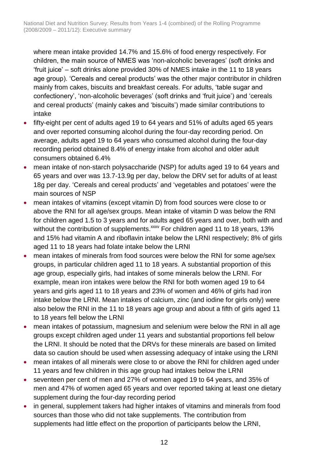where mean intake provided 14.7% and 15.6% of food energy respectively. For children, the main source of NMES was 'non-alcoholic beverages' (soft drinks and 'fruit juice' – soft drinks alone provided 30% of NMES intake in the 11 to 18 years age group). 'Cereals and cereal products' was the other major contributor in children mainly from cakes, biscuits and breakfast cereals. For adults, 'table sugar and confectionery', 'non-alcoholic beverages' (soft drinks and 'fruit juice') and 'cereals and cereal products' (mainly cakes and 'biscuits') made similar contributions to intake

- fifty-eight per cent of adults aged 19 to 64 years and 51% of adults aged 65 years and over reported consuming alcohol during the four-day recording period. On average, adults aged 19 to 64 years who consumed alcohol during the four-day recording period obtained 8.4% of energy intake from alcohol and older adult consumers obtained 6.4%
- mean intake of non-starch polysaccharide (NSP) for adults aged 19 to 64 years and 65 years and over was 13.7-13.9g per day, below the DRV set for adults of at least 18g per day. 'Cereals and cereal products' and 'vegetables and potatoes' were the main sources of NSP
- mean intakes of vitamins (except vitamin D) from food sources were close to or above the RNI for all age/sex groups. Mean intake of vitamin D was below the RNI for children aged 1.5 to 3 years and for adults aged 65 years and over, both with and without the contribution of supplements.<sup>xxxv</sup> For children aged 11 to 18 years, 13% and 15% had vitamin A and riboflavin intake below the LRNI respectively; 8% of girls aged 11 to 18 years had folate intake below the LRNI
- mean intakes of minerals from food sources were below the RNI for some age/sex groups, in particular children aged 11 to 18 years. A substantial proportion of this age group, especially girls, had intakes of some minerals below the LRNI. For example, mean iron intakes were below the RNI for both women aged 19 to 64 years and girls aged 11 to 18 years and 23% of women and 46% of girls had iron intake below the LRNI. Mean intakes of calcium, zinc (and iodine for girls only) were also below the RNI in the 11 to 18 years age group and about a fifth of girls aged 11 to 18 years fell below the LRNI
- mean intakes of potassium, magnesium and selenium were below the RNI in all age groups except children aged under 11 years and substantial proportions fell below the LRNI. It should be noted that the DRVs for these minerals are based on limited data so caution should be used when assessing adequacy of intake using the LRNI
- mean intakes of all minerals were close to or above the RNI for children aged under 11 years and few children in this age group had intakes below the LRNI
- seventeen per cent of men and 27% of women aged 19 to 64 years, and 35% of men and 47% of women aged 65 years and over reported taking at least one dietary supplement during the four-day recording period
- in general, supplement takers had higher intakes of vitamins and minerals from food sources than those who did not take supplements. The contribution from supplements had little effect on the proportion of participants below the LRNI,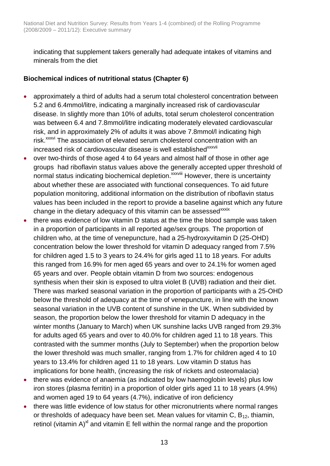indicating that supplement takers generally had adequate intakes of vitamins and minerals from the diet

#### **Biochemical indices of nutritional status (Chapter 6)**

- approximately a third of adults had a serum total cholesterol concentration between 5.2 and 6.4mmol/litre, indicating a marginally increased risk of cardiovascular disease. In slightly more than 10% of adults, total serum cholesterol concentration was between 6.4 and 7.8mmol/litre indicating moderately elevated cardiovascular risk, and in approximately 2% of adults it was above 7.8mmol/l indicating high risk.<sup>xxxvi</sup> The association of elevated serum cholesterol concentration with an increased risk of cardiovascular disease is well established<sup>xxxvii</sup>
- over two-thirds of those aged 4 to 64 years and almost half of those in other age groups had riboflavin status values above the generally accepted upper threshold of normal status indicating biochemical depletion.<sup>xxxviii</sup> However, there is uncertainty about whether these are associated with functional consequences. To aid future population monitoring, additional information on the distribution of riboflavin status values has been included in the report to provide a baseline against which any future change in the dietary adequacy of this vitamin can be assessed<sup>xxxix</sup>
- there was evidence of low vitamin D status at the time the blood sample was taken in a proportion of participants in all reported age/sex groups. The proportion of children who, at the time of venepuncture, had a 25-hydroxyvitamin D (25-OHD) concentration below the lower threshold for vitamin D adequacy ranged from 7.5% for children aged 1.5 to 3 years to 24.4% for girls aged 11 to 18 years. For adults this ranged from 16.9% for men aged 65 years and over to 24.1% for women aged 65 years and over. People obtain vitamin D from two sources: endogenous synthesis when their skin is exposed to ultra violet B (UVB) radiation and their diet. There was marked seasonal variation in the proportion of participants with a 25-OHD below the threshold of adequacy at the time of venepuncture, in line with the known seasonal variation in the UVB content of sunshine in the UK. When subdivided by season, the proportion below the lower threshold for vitamin D adequacy in the winter months (January to March) when UK sunshine lacks UVB ranged from 29.3% for adults aged 65 years and over to 40.0% for children aged 11 to 18 years. This contrasted with the summer months (July to September) when the proportion below the lower threshold was much smaller, ranging from 1.7% for children aged 4 to 10 years to 13.4% for children aged 11 to 18 years. Low vitamin D status has implications for bone health, (increasing the risk of rickets and osteomalacia)
- there was evidence of anaemia (as indicated by low haemoglobin levels) plus low iron stores (plasma ferritin) in a proportion of older girls aged 11 to 18 years (4.9%) and women aged 19 to 64 years (4.7%), indicative of iron deficiency
- there was little evidence of low status for other micronutrients where normal ranges or thresholds of adequacy have been set. Mean values for vitamin  $C$ ,  $B_{12}$ , thiamin, retinol (vitamin  $A$ )<sup>xi</sup> and vitamin E fell within the normal range and the proportion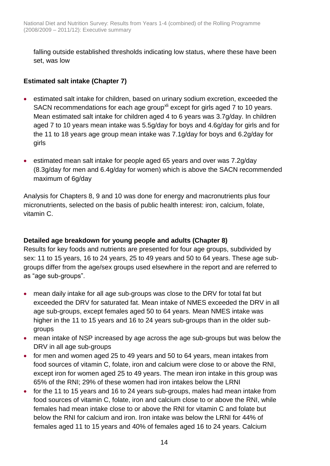falling outside established thresholds indicating low status, where these have been set, was low

#### **Estimated salt intake (Chapter 7)**

- estimated salt intake for children, based on urinary sodium excretion, exceeded the SACN recommendations for each age group<sup>xli</sup> except for girls aged 7 to 10 years. Mean estimated salt intake for children aged 4 to 6 years was 3.7g/day. In children aged 7 to 10 years mean intake was 5.5g/day for boys and 4.6g/day for girls and for the 11 to 18 years age group mean intake was 7.1g/day for boys and 6.2g/day for girls
- estimated mean salt intake for people aged 65 years and over was 7.2g/day (8.3g/day for men and 6.4g/day for women) which is above the SACN recommended maximum of 6g/day

Analysis for Chapters 8, 9 and 10 was done for energy and macronutrients plus four micronutrients, selected on the basis of public health interest: iron, calcium, folate, vitamin C.

#### **Detailed age breakdown for young people and adults (Chapter 8)**

Results for key foods and nutrients are presented for four age groups, subdivided by sex: 11 to 15 years, 16 to 24 years, 25 to 49 years and 50 to 64 years. These age subgroups differ from the age/sex groups used elsewhere in the report and are referred to as "age sub-groups".

- mean daily intake for all age sub-groups was close to the DRV for total fat but exceeded the DRV for saturated fat. Mean intake of NMES exceeded the DRV in all age sub-groups, except females aged 50 to 64 years. Mean NMES intake was higher in the 11 to 15 years and 16 to 24 years sub-groups than in the older subgroups
- mean intake of NSP increased by age across the age sub-groups but was below the DRV in all age sub-groups
- for men and women aged 25 to 49 years and 50 to 64 years, mean intakes from food sources of vitamin C, folate, iron and calcium were close to or above the RNI, except iron for women aged 25 to 49 years. The mean iron intake in this group was 65% of the RNI; 29% of these women had iron intakes below the LRNI
- for the 11 to 15 years and 16 to 24 years sub-groups, males had mean intake from food sources of vitamin C, folate, iron and calcium close to or above the RNI, while females had mean intake close to or above the RNI for vitamin C and folate but below the RNI for calcium and iron. Iron intake was below the LRNI for 44% of females aged 11 to 15 years and 40% of females aged 16 to 24 years. Calcium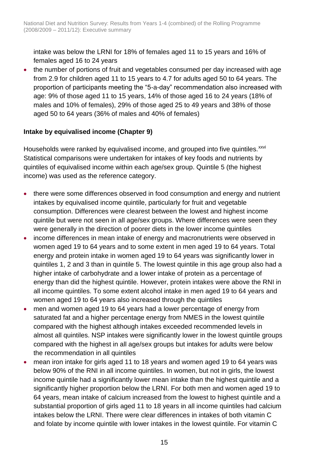intake was below the LRNI for 18% of females aged 11 to 15 years and 16% of females aged 16 to 24 years

• the number of portions of fruit and vegetables consumed per day increased with age from 2.9 for children aged 11 to 15 years to 4.7 for adults aged 50 to 64 years. The proportion of participants meeting the "5-a-day" recommendation also increased with age: 9% of those aged 11 to 15 years, 14% of those aged 16 to 24 years (18% of males and 10% of females), 29% of those aged 25 to 49 years and 38% of those aged 50 to 64 years (36% of males and 40% of females)

#### **Intake by equivalised income (Chapter 9)**

Households were ranked by equivalised income, and grouped into five quintiles.<sup>xxvi</sup> Statistical comparisons were undertaken for intakes of key foods and nutrients by quintiles of equivalised income within each age/sex group. Quintile 5 (the highest income) was used as the reference category.

- there were some differences observed in food consumption and energy and nutrient intakes by equivalised income quintile, particularly for fruit and vegetable consumption. Differences were clearest between the lowest and highest income quintile but were not seen in all age/sex groups. Where differences were seen they were generally in the direction of poorer diets in the lower income quintiles
- income differences in mean intake of energy and macronutrients were observed in women aged 19 to 64 years and to some extent in men aged 19 to 64 years. Total energy and protein intake in women aged 19 to 64 years was significantly lower in quintiles 1, 2 and 3 than in quintile 5. The lowest quintile in this age group also had a higher intake of carbohydrate and a lower intake of protein as a percentage of energy than did the highest quintile. However, protein intakes were above the RNI in all income quintiles. To some extent alcohol intake in men aged 19 to 64 years and women aged 19 to 64 years also increased through the quintiles
- men and women aged 19 to 64 years had a lower percentage of energy from saturated fat and a higher percentage energy from NMES in the lowest quintile compared with the highest although intakes exceeded recommended levels in almost all quintiles. NSP intakes were significantly lower in the lowest quintile groups compared with the highest in all age/sex groups but intakes for adults were below the recommendation in all quintiles
- mean iron intake for girls aged 11 to 18 years and women aged 19 to 64 years was below 90% of the RNI in all income quintiles. In women, but not in girls, the lowest income quintile had a significantly lower mean intake than the highest quintile and a significantly higher proportion below the LRNI. For both men and women aged 19 to 64 years, mean intake of calcium increased from the lowest to highest quintile and a substantial proportion of girls aged 11 to 18 years in all income quintiles had calcium intakes below the LRNI. There were clear differences in intakes of both vitamin C and folate by income quintile with lower intakes in the lowest quintile. For vitamin C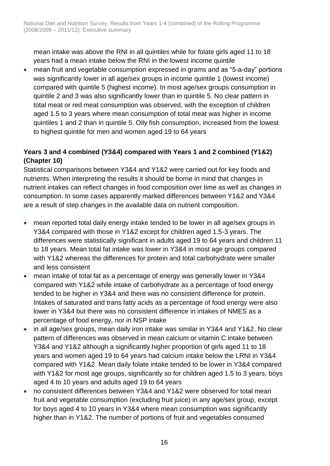mean intake was above the RNI in all quintiles while for folate girls aged 11 to 18 years had a mean intake below the RNI in the lowest income quintile

 mean fruit and vegetable consumption expressed in grams and as "5-a-day" portions was significantly lower in all age/sex groups in income quintile 1 (lowest income) compared with quintile 5 (highest income). In most age/sex groups consumption in quintile 2 and 3 was also significantly lower than in quintile 5. No clear pattern in total meat or red meat consumption was observed, with the exception of children aged 1.5 to 3 years where mean consumption of total meat was higher in income quintiles 1 and 2 than in quintile 5. Oily fish consumption, increased from the lowest to highest quintile for men and women aged 19 to 64 years

#### **Years 3 and 4 combined (Y3&4) compared with Years 1 and 2 combined (Y1&2) (Chapter 10)**

Statistical comparisons between Y3&4 and Y1&2 were carried out for key foods and nutrients. When interpreting the results it should be borne in mind that changes in nutrient intakes can reflect changes in food composition over time as well as changes in consumption. In some cases apparently marked differences between Y1&2 and Y3&4 are a result of step changes in the available data on nutrient composition.

- mean reported total daily energy intake tended to be lower in all age/sex groups in Y3&4 compared with those in Y1&2 except for children aged 1.5-3 years. The differences were statistically significant in adults aged 19 to 64 years and children 11 to 18 years. Mean total fat intake was lower in Y3&4 in most age groups compared with Y1&2 whereas the differences for protein and total carbohydrate were smaller and less consistent
- mean intake of total fat as a percentage of energy was generally lower in Y3&4 compared with Y1&2 while intake of carbohydrate as a percentage of food energy tended to be higher in Y3&4 and there was no consistent difference for protein. Intakes of saturated and trans fatty acids as a percentage of food energy were also lower in Y3&4 but there was no consistent difference in intakes of NMES as a percentage of food energy, nor in NSP intake
- in all age/sex groups, mean daily iron intake was similar in Y3&4 and Y1&2. No clear pattern of differences was observed in mean calcium or vitamin C intake between Y3&4 and Y1&2 although a significantly higher proportion of girls aged 11 to 18 years and women aged 19 to 64 years had calcium intake below the LRNI in Y3&4 compared with Y1&2. Mean daily folate intake tended to be lower in Y3&4 compared with Y1&2 for most age groups, significantly so for children aged 1.5 to 3 years, boys aged 4 to 10 years and adults aged 19 to 64 years
- no consistent differences between Y3&4 and Y1&2 were observed for total mean fruit and vegetable consumption (excluding fruit juice) in any age/sex group, except for boys aged 4 to 10 years in Y3&4 where mean consumption was significantly higher than in Y1&2. The number of portions of fruit and vegetables consumed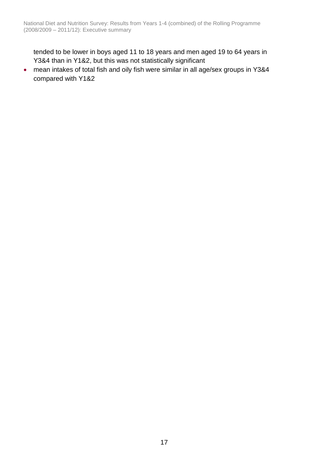National Diet and Nutrition Survey: Results from Years 1-4 (combined) of the Rolling Programme (2008/2009 – 2011/12): Executive summary

tended to be lower in boys aged 11 to 18 years and men aged 19 to 64 years in Y3&4 than in Y1&2, but this was not statistically significant

 mean intakes of total fish and oily fish were similar in all age/sex groups in Y3&4 compared with Y1&2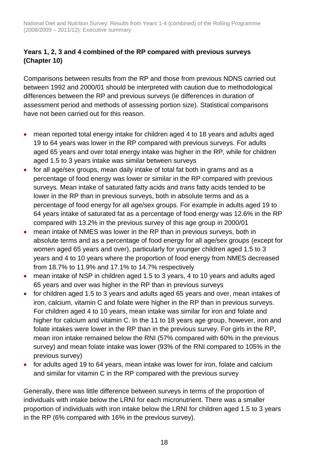#### **Years 1, 2, 3 and 4 combined of the RP compared with previous surveys (Chapter 10)**

Comparisons between results from the RP and those from previous NDNS carried out between 1992 and 2000/01 should be interpreted with caution due to methodological differences between the RP and previous surveys (ie differences in duration of assessment period and methods of assessing portion size). Statistical comparisons have not been carried out for this reason.

- mean reported total energy intake for children aged 4 to 18 years and adults aged 19 to 64 years was lower in the RP compared with previous surveys. For adults aged 65 years and over total energy intake was higher in the RP, while for children aged 1.5 to 3 years intake was similar between surveys
- for all age/sex groups, mean daily intake of total fat both in grams and as a percentage of food energy was lower or similar in the RP compared with previous surveys. Mean intake of saturated fatty acids and *trans* fatty acids tended to be lower in the RP than in previous surveys, both in absolute terms and as a percentage of food energy for all age/sex groups. For example in adults aged 19 to 64 years intake of saturated fat as a percentage of food energy was 12.6% in the RP compared with 13.2% in the previous survey of this age group in 2000/01
- mean intake of NMES was lower in the RP than in previous surveys, both in absolute terms and as a percentage of food energy for all age/sex groups (except for women aged 65 years and over), particularly for younger children aged 1.5 to 3 years and 4 to 10 years where the proportion of food energy from NMES decreased from 18.7% to 11.9% and 17.1% to 14.7% respectively
- mean intake of NSP in children aged 1.5 to 3 years, 4 to 10 years and adults aged 65 years and over was higher in the RP than in previous surveys
- for children aged 1.5 to 3 years and adults aged 65 years and over, mean intakes of iron, calcium, vitamin C and folate were higher in the RP than in previous surveys. For children aged 4 to 10 years, mean intake was similar for iron and folate and higher for calcium and vitamin C. In the 11 to 18 years age group, however, iron and folate intakes were lower in the RP than in the previous survey. For girls in the RP, mean iron intake remained below the RNI (57% compared with 60% in the previous survey) and mean folate intake was lower (93% of the RNI compared to 105% in the previous survey)
- for adults aged 19 to 64 years, mean intake was lower for iron, folate and calcium and similar for vitamin C in the RP compared with the previous survey

Generally, there was little difference between surveys in terms of the proportion of individuals with intake below the LRNI for each micronutrient. There was a smaller proportion of individuals with iron intake below the LRNI for children aged 1.5 to 3 years in the RP (6% compared with 16% in the previous survey).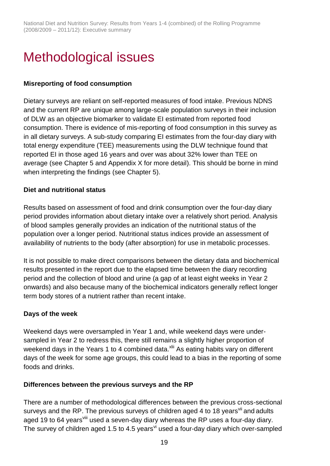## <span id="page-18-0"></span>Methodological issues

#### **Misreporting of food consumption**

Dietary surveys are reliant on self-reported measures of food intake. Previous NDNS and the current RP are unique among large-scale population surveys in their inclusion of DLW as an objective biomarker to validate EI estimated from reported food consumption. There is evidence of mis-reporting of food consumption in this survey as in all dietary surveys. A sub-study comparing EI estimates from the four-day diary with total energy expenditure (TEE) measurements using the DLW technique found that reported EI in those aged 16 years and over was about 32% lower than TEE on average (see Chapter 5 and Appendix X for more detail). This should be borne in mind when interpreting the findings (see Chapter 5).

#### **Diet and nutritional status**

Results based on assessment of food and drink consumption over the four-day diary period provides information about dietary intake over a relatively short period. Analysis of blood samples generally provides an indication of the nutritional status of the population over a longer period. Nutritional status indices provide an assessment of availability of nutrients to the body (after absorption) for use in metabolic processes.

It is not possible to make direct comparisons between the dietary data and biochemical results presented in the report due to the elapsed time between the diary recording period and the collection of blood and urine (a gap of at least eight weeks in Year 2 onwards) and also because many of the biochemical indicators generally reflect longer term body stores of a nutrient rather than recent intake.

#### **Days of the week**

Weekend days were oversampled in Year 1 and, while weekend days were undersampled in Year 2 to redress this, there still remains a slightly higher proportion of weekend days in the Years 1 to 4 combined data.<sup>xlii</sup> As eating habits vary on different days of the week for some age groups, this could lead to a bias in the reporting of some foods and drinks.

#### **Differences between the previous surveys and the RP**

There are a number of methodological differences between the previous cross-sectional surveys and the RP. The previous surveys of children aged 4 to 18 years<sup>[vii](#page-3-2)</sup> and adults aged 19 to 64 years<sup>[viii](#page-3-3)</sup> used a seven-day diary whereas the RP uses a four-day diary. The survey of children aged 1.5 to 4.5 years<sup> $vi$ </sup> used a four-day diary which over-sampled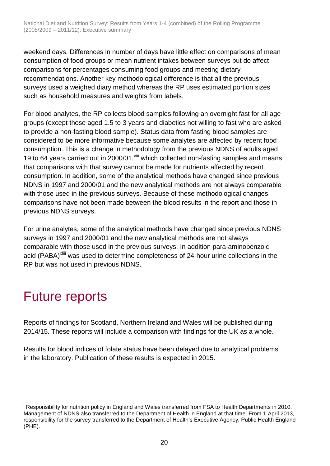weekend days. Differences in number of days have little effect on comparisons of mean consumption of food groups or mean nutrient intakes between surveys but do affect comparisons for percentages consuming food groups and meeting dietary recommendations. Another key methodological difference is that all the previous surveys used a weighed diary method whereas the RP uses estimated portion sizes such as household measures and weights from labels.

For blood analytes, the RP collects blood samples following an overnight fast for all age groups (except those aged 1.5 to 3 years and diabetics not willing to fast who are asked to provide a non-fasting blood sample). Status data from fasting blood samples are considered to be more informative because some analytes are affected by recent food consumption. This is a change in methodology from the previous NDNS of adults aged 19 to 64 years carried out in 2000/01, Vill which collected non-fasting samples and means that comparisons with that survey cannot be made for nutrients affected by recent consumption. In addition, some of the analytical methods have changed since previous NDNS in 1997 and 2000/01 and the new analytical methods are not always comparable with those used in the previous surveys. Because of these methodological changes comparisons have not been made between the blood results in the report and those in previous NDNS surveys.

For urine analytes, some of the analytical methods have changed since previous NDNS surveys in 1997 and 2000/01 and the new analytical methods are not always comparable with those used in the previous surveys. In addition para-aminobenzoic acid (PABA)<sup>xliii</sup> was used to determine completeness of 24-hour urine collections in the RP but was not used in previous NDNS.

### <span id="page-19-0"></span>Future reports

l

Reports of findings for Scotland, Northern Ireland and Wales will be published during 2014/15. These reports will include a comparison with findings for the UK as a whole.

Results for blood indices of folate status have been delayed due to analytical problems in the laboratory. Publication of these results is expected in 2015.

<sup>&</sup>lt;sup>i</sup> Responsibility for nutrition policy in England and Wales transferred from FSA to Health Departments in 2010. Management of NDNS also transferred to the Department of Health in England at that time. From 1 April 2013, responsibility for the survey transferred to the Department of Health's Executive Agency, Public Health England  $(PHE)$ .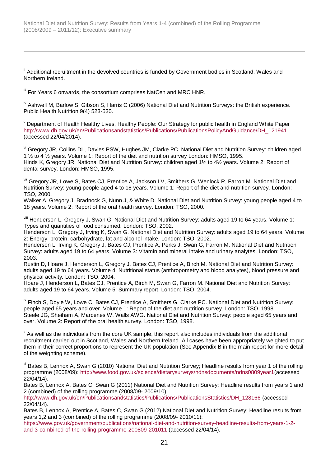<sup>ii</sup> Additional recruitment in the devolved countries is funded by Government bodies in Scotland, Wales and Northern Ireland.

iii For Years 6 onwards, the consortium comprises NatCen and MRC HNR.

l

iv Ashwell M, Barlow S, Gibson S, Harris C (2006) National Diet and Nutrition Surveys: the British experience. Public Health Nutrition 9(4) 523-530.

<sup>v</sup> Department of Health Healthy Lives, Healthy People: Our Strategy for public health in England White Paper [http://www.dh.gov.uk/en/Publicationsandstatistics/Publications/PublicationsPolicyAndGuidance/DH\\_121941](http://www.dh.gov.uk/en/Publicationsandstatistics/Publications/PublicationsPolicyAndGuidance/DH_121941) (accessed 22/04/2014).

vi Gregory JR, Collins DL, Davies PSW, Hughes JM, Clarke PC. National Diet and Nutrition Survey: children aged 1 ½ to 4 ½ years. Volume 1: Report of the diet and nutrition survey London: HMSO, 1995. Hinds K, Gregory JR. National Diet and Nutrition Survey: children aged 1½ to 4½ years. Volume 2: Report of dental survey. London: HMSO, 1995.

vii Gregory JR, Lowe S, Bates CJ, Prentice A, Jackson LV, Smithers G, Wenlock R, Farron M. National Diet and Nutrition Survey: young people aged 4 to 18 years. Volume 1: Report of the diet and nutrition survey*.* London: TSO, 2000.

Walker A, Gregory J, Bradnock G, Nunn J, & White D. National Diet and Nutrition Survey: young people aged 4 to 18 years. Volume 2: Report of the oral health survey. London: TSO, 2000.

viii Henderson L, Gregory J, Swan G. National Diet and Nutrition Survey: adults aged 19 to 64 years. Volume 1: Types and quantities of food consumed*.* London: TSO, 2002.

Henderson L, Gregory J, Irving K, Swan G. National Diet and Nutrition Survey: adults aged 19 to 64 years. Volume 2: Energy, protein, carbohydrate, fat and alcohol intake*.* London: TSO, 2002.

Henderson L, Irving K, Gregory J, Bates CJ, Prentice A, Perks J, Swan G, Farron M. National Diet and Nutrition Survey: adults aged 19 to 64 years. Volume 3: Vitamin and mineral intake and urinary analytes*.* London: TSO, 2003.

Rustin D, Hoare J, Henderson L, Gregory J, Bates CJ, Prentice A, Birch M. National Diet and Nutrition Survey: adults aged 19 to 64 years. Volume 4: Nutritional status (anthropometry and blood analytes), blood pressure and physical activity*.* London: TSO, 2004.

Hoare J, Henderson L, Bates CJ, Prentice A, Birch M, Swan G, Farron M. National Diet and Nutrition Survey: adults aged 19 to 64 years. Volume 5: Summary report. London: TSO, 2004.

<sup>ix</sup> Finch S, Doyle W, Lowe C, Bates CJ, Prentice A, Smithers G, Clarke PC. National Diet and Nutrition Survey: people aged 65 years and over. Volume 1: Report of the diet and nutrition survey*.* London: TSO, 1998. Steele JG, Sheiham A, Marcenes W, Walls AWG. National Diet and Nutrition Survey: people aged 65 years and over. Volume 2: Report of the oral health survey. London: TSO, 1998.

<sup>x</sup> As well as the individuals from the core UK sample, this report also includes individuals from the additional recruitment carried out in Scotland, Wales and Northern Ireland. All cases have been appropriately weighted to put them in their correct proportions to represent the UK population (See Appendix B in the main report for more detail of the weighting scheme).

<sup>xi</sup> Bates B, Lennox A, Swan G (2010) National Diet and Nutrition Survey; Headline results from year 1 of the rolling programme (2008/09): [http://www.food.gov.uk/science/dietarysurveys/ndnsdocuments/ndns0809year1\(](http://www.food.gov.uk/science/dietarysurveys/ndnsdocuments/ndns0809year1)accessed 22/04/14).

Bates B, Lennox A, Bates C, Swan G (2011) National Diet and Nutrition Survey; Headline results from years 1 and 2 (combined) of the rolling programme (2008/09- 2009/10):

[http://www.dh.gov.uk/en/Publicationsandstatistics/Publications/PublicationsStatistics/DH\\_128166](http://www.dh.gov.uk/en/Publicationsandstatistics/Publications/PublicationsStatistics/DH_128166) (accessed 22/04/14).

Bates B, Lennox A, Prentice A, Bates C, Swan G (2012) National Diet and Nutrition Survey; Headline results from years 1,2 and 3 (combined) of the rolling programme (2008/09- 2010/11):

[https://www.gov.uk/government/publications/national-diet-and-nutrition-survey-headline-results-from-years-1-2](https://www.gov.uk/government/publications/national-diet-and-nutrition-survey-headline-results-from-years-1-2-and-3-combined-of-the-rolling-programme-200809-201011) [and-3-combined-of-the-rolling-programme-200809-201011](https://www.gov.uk/government/publications/national-diet-and-nutrition-survey-headline-results-from-years-1-2-and-3-combined-of-the-rolling-programme-200809-201011) (accessed 22/04/14).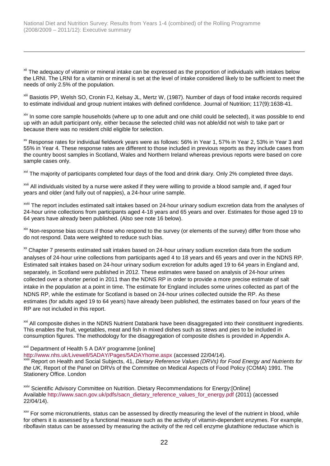l

<sup>xii</sup> The adequacy of vitamin or mineral intake can be expressed as the proportion of individuals with intakes below the LRNI. The LRNI for a vitamin or mineral is set at the level of intake considered likely to be sufficient to meet the needs of only 2.5% of the population.

xiii [Basiotis PP,](http://www.ncbi.nlm.nih.gov/pubmed?term=Basiotis%20PP%5BAuthor%5D&cauthor=true&cauthor_uid=3655942) [Welsh SO,](http://www.ncbi.nlm.nih.gov/pubmed?term=Welsh%20SO%5BAuthor%5D&cauthor=true&cauthor_uid=3655942) [Cronin FJ,](http://www.ncbi.nlm.nih.gov/pubmed?term=Cronin%20FJ%5BAuthor%5D&cauthor=true&cauthor_uid=3655942) [Kelsay JL,](http://www.ncbi.nlm.nih.gov/pubmed?term=Kelsay%20JL%5BAuthor%5D&cauthor=true&cauthor_uid=3655942) [Mertz W,](http://www.ncbi.nlm.nih.gov/pubmed?term=Mertz%20W%5BAuthor%5D&cauthor=true&cauthor_uid=3655942) (1987). Number of days of food intake records required to estimate individual and group nutrient intakes with defined confidence. Journal of Nutrition; 117(9):1638-41.

xiv In some core sample households (where up to one adult and one child could be selected), it was possible to end up with an adult participant only, either because the selected child was not able/did not wish to take part or because there was no resident child eligible for selection.

xv Response rates for individual fieldwork years were as follows: 56% in Year 1, 57% in Year 2, 53% in Year 3 and 55% in Year 4. These response rates are different to those included in previous reports as they include cases from the country boost samples in Scotland, Wales and Northern Ireland whereas previous reports were based on core sample cases only.

<sup>xvi</sup> The majority of participants completed four days of the food and drink diary. Only 2% completed three days.

<sup>xvii</sup> All individuals visited by a nurse were asked if they were willing to provide a blood sample and, if aged four years and older (and fully out of nappies), a 24-hour urine sample.

xviii The report includes estimated salt intakes based on 24-hour urinary sodium excretion data from the analyses of 24-hour urine collections from participants aged 4-18 years and 65 years and over. Estimates for those aged 19 to 64 years have already been published. (Also see note 16 below).

<sup>xix</sup> Non-response bias occurs if those who respond to the survey (or elements of the survey) differ from those who do not respond. Data were weighted to reduce such bias.

<sup>xx</sup> Chapter 7 presents estimated salt intakes based on 24-hour urinary sodium excretion data from the sodium analyses of 24-hour urine collections from participants aged 4 to 18 years and 65 years and over in the NDNS RP. Estimated salt intakes based on 24-hour urinary sodium excretion for adults aged 19 to 64 years in England and, separately, in Scotland were published in 2012. These estimates were based on analysis of 24-hour urines collected over a shorter period in 2011 than the NDNS RP in order to provide a more precise estimate of salt intake in the population at a point in time. The estimate for England includes some urines collected as part of the NDNS RP, while the estimate for Scotland is based on 24-hour urines collected outside the RP. As these estimates (for adults aged 19 to 64 years) have already been published, the estimates based on four years of the RP are not included in this report.

<sup>xxi</sup> All composite dishes in the NDNS Nutrient Databank have been disaggregated into their constituent ingredients. This enables the fruit, vegetables, meat and fish in mixed dishes such as stews and pies to be included in consumption figures. The methodology for the disaggregation of composite dishes is provided in Appendix A.

#### <sup>xxii</sup> Department of Health 5 A DAY programme [online]

<http://www.nhs.uk/Livewell/5ADAY/Pages/5ADAYhome.aspx> (accessed 22/04/14).

 $\overline{a}$  Report on Health and Social Subjects, 41, *Dietary Reference Values (DRVs) for Food Energy and Nutrients for the UK*, Report of the Panel on DRVs of the Committee on Medical Aspects of Food Policy (COMA) 1991. The Stationery Office. London

xxiv Scientific Advisory Committee on Nutrition. Dietary Recommendations for Energy:[Online] Available [http://www.sacn.gov.uk/pdfs/sacn\\_dietary\\_reference\\_values\\_for\\_energy.pdf](http://www.sacn.gov.uk/pdfs/sacn_dietary_reference_values_for_energy.pdf) (2011) (accessed 22/04/14).

xxv For some micronutrients, status can be assessed by directly measuring the level of the nutrient in blood, while for others it is assessed by a functional measure such as the activity of vitamin-dependent enzymes. For example, riboflavin status can be assessed by measuring the activity of the red cell enzyme glutathione reductase which is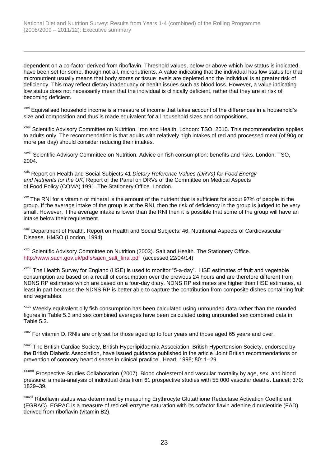l

dependent on a co-factor derived from riboflavin. Threshold values, below or above which low status is indicated, have been set for some, though not all, micronutrients. A value indicating that the individual has low status for that micronutrient usually means that body stores or tissue levels are depleted and the individual is at greater risk of deficiency. This may reflect dietary inadequacy or health issues such as blood loss. However, a value indicating low status does not necessarily mean that the individual is clinically deficient, rather that they are at risk of becoming deficient.

xxvi Equivalised household income is a measure of income that takes account of the differences in a household's size and composition and thus is made equivalent for all household sizes and compositions.

xxvii Scientific Advisory Committee on Nutrition. Iron and Health. London: TSO, 2010. This recommendation applies to adults only. The recommendation is that adults with relatively high intakes of red and processed meat (of 90g or more per day) should consider reducing their intakes.

xxviii Scientific Advisory Committee on Nutrition. Advice on fish consumption: benefits and risks. London: TSO, 2004.

xxix Report on Health and Social Subjects 41 *Dietary Reference Values (DRVs) for Food Energy and Nutrients for the UK*, Report of the Panel on DRVs of the Committee on Medical Aspects of Food Policy (COMA) 1991. The Stationery Office. London.

**xxx** The RNI for a vitamin or mineral is the amount of the nutrient that is sufficient for about 97% of people in the group. If the average intake of the group is at the RNI, then the risk of deficiency in the group is judged to be very small. However, if the average intake is lower than the RNI then it is possible that some of the group will have an intake below their requirement.

xxxi Department of Health. Report on Health and Social Subjects: 46. Nutritional Aspects of Cardiovascular Disease. HMSO (London, 1994).

xxxii Scientific Advisory Committee on Nutrition (2003). Salt and Health. The Stationery Office. [http://www.sacn.gov.uk/pdfs/sacn\\_salt\\_final.pdf](http://www.sacn.gov.uk/pdfs/sacn_salt_final.pdf) (accessed 22/04/14)

xxxiii The Health Survey for England (HSE) is used to monitor "5-a-day". HSE estimates of fruit and vegetable consumption are based on a recall of consumption over the previous 24 hours and are therefore different from NDNS RP estimates which are based on a four-day diary. NDNS RP estimates are higher than HSE estimates, at least in part because the NDNS RP is better able to capture the contribution from composite dishes containing fruit and vegetables.

xxxiv Weekly equivalent oily fish consumption has been calculated using unrounded data rather than the rounded figures in Table 5.3 and sex combined averages have been calculated using unrounded sex combined data in Table 5.3.

xxxv For vitamin D, RNIs are only set for those aged up to four years and those aged 65 years and over.

xxxvi The British Cardiac Society, British Hyperlipidaemia Association, British Hypertension Society, endorsed by the British Diabetic Association, have issued guidance published in the article 'Joint British recommendations on prevention of coronary heart disease in clinical practice'. Heart, 1998; 80: 1–29.

xxxvii Prospective Studies Collaboration (2007). Blood cholesterol and vascular mortality by age, sex, and blood pressure: a meta-analysis of individual data from 61 prospective studies with 55 000 vascular deaths. Lancet; 370: 1829–39.

xxxviii Riboflavin status was determined by measuring Erythrocyte Glutathione Reductase Activation Coefficient (EGRAC). EGRAC is a measure of red cell enzyme saturation with its cofactor flavin adenine dinucleotide (FAD) derived from riboflavin (vitamin B2).